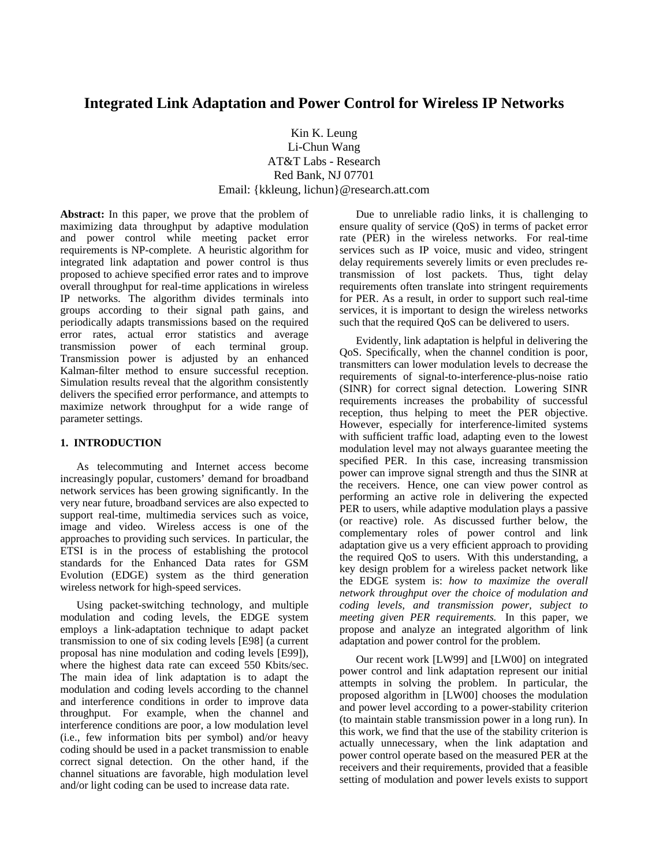# **Integrated Link Adaptation and Power Control for Wireless IP Networks**

# Kin K. Leung Li-Chun Wang AT&T Labs - Research Red Bank, NJ 07701 Email: {kkleung, lichun}@research.att.com

**Abstract:** In this paper, we prove that the problem of maximizing data throughput by adaptive modulation and power control while meeting packet error requirements is NP-complete. A heuristic algorithm for integrated link adaptation and power control is thus proposed to achieve specified error rates and to improve overall throughput for real-time applications in wireless IP networks. The algorithm divides terminals into groups according to their signal path gains, and periodically adapts transmissions based on the required error rates, actual error statistics and average transmission power of each terminal group. Transmission power is adjusted by an enhanced Kalman-filter method to ensure successful reception. Simulation results reveal that the algorithm consistently delivers the specified error performance, and attempts to maximize network throughput for a wide range of parameter settings.

## **1. INTRODUCTION**

As telecommuting and Internet access become increasingly popular, customers' demand for broadband network services has been growing significantly. In the very near future, broadband services are also expected to support real-time, multimedia services such as voice, image and video. Wireless access is one of the approaches to providing such services. In particular, the ETSI is in the process of establishing the protocol standards for the Enhanced Data rates for GSM Evolution (EDGE) system as the third generation wireless network for high-speed services.

Using packet-switching technology, and multiple modulation and coding levels, the EDGE system employs a link-adaptation technique to adapt packet transmission to one of six coding levels [E98] (a current proposal has nine modulation and coding levels [E99]), where the highest data rate can exceed 550 Kbits/sec. The main idea of link adaptation is to adapt the modulation and coding levels according to the channel and interference conditions in order to improve data throughput. For example, when the channel and interference conditions are poor, a low modulation level (i.e., few information bits per symbol) and/or heavy coding should be used in a packet transmission to enable correct signal detection. On the other hand, if the channel situations are favorable, high modulation level and/or light coding can be used to increase data rate.

Due to unreliable radio links, it is challenging to ensure quality of service (QoS) in terms of packet error rate (PER) in the wireless networks. For real-time services such as IP voice, music and video, stringent delay requirements severely limits or even precludes retransmission of lost packets. Thus, tight delay requirements often translate into stringent requirements for PER. As a result, in order to support such real-time services, it is important to design the wireless networks such that the required QoS can be delivered to users.

Evidently, link adaptation is helpful in delivering the QoS. Specifically, when the channel condition is poor, transmitters can lower modulation levels to decrease the requirements of signal-to-interference-plus-noise ratio (SINR) for correct signal detection. Lowering SINR requirements increases the probability of successful reception, thus helping to meet the PER objective. However, especially for interference-limited systems with sufficient traffic load, adapting even to the lowest modulation level may not always guarantee meeting the specified PER. In this case, increasing transmission power can improve signal strength and thus the SINR at the receivers. Hence, one can view power control as performing an active role in delivering the expected PER to users, while adaptive modulation plays a passive (or reactive) role. As discussed further below, the complementary roles of power control and link adaptation give us a very efficient approach to providing the required QoS to users. With this understanding, a key design problem for a wireless packet network like the EDGE system is: *how to maximize the overall network throughput over the choice of modulation and coding levels, and transmission power, subject to meeting given PER requirements.* In this paper, we propose and analyze an integrated algorithm of link adaptation and power control for the problem.

Our recent work [LW99] and [LW00] on integrated power control and link adaptation represent our initial attempts in solving the problem. In particular, the proposed algorithm in [LW00] chooses the modulation and power level according to a power-stability criterion (to maintain stable transmission power in a long run). In this work, we find that the use of the stability criterion is actually unnecessary, when the link adaptation and power control operate based on the measured PER at the receivers and their requirements, provided that a feasible setting of modulation and power levels exists to support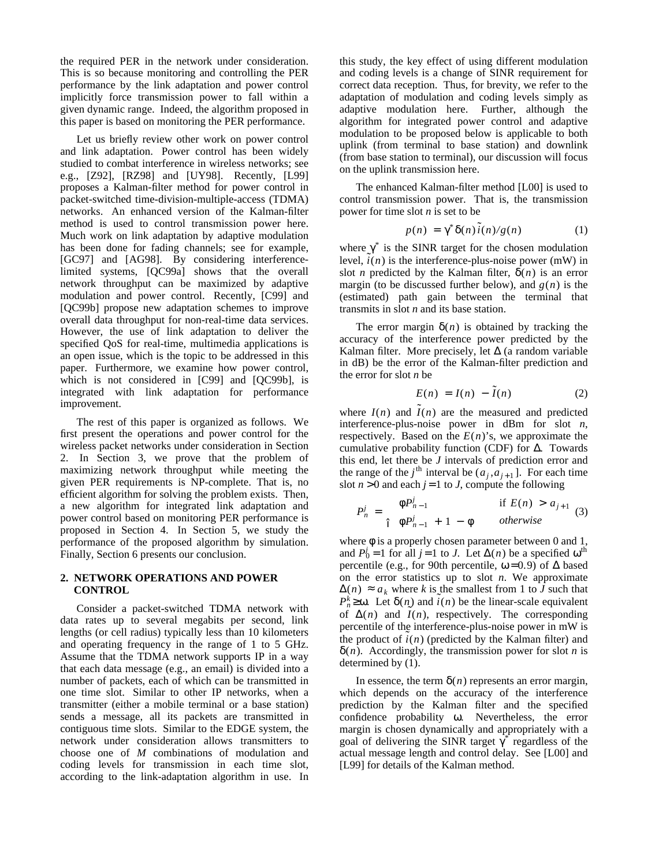the required PER in the network under consideration. This is so because monitoring and controlling the PER performance by the link adaptation and power control implicitly force transmission power to fall within a given dynamic range. Indeed, the algorithm proposed in this paper is based on monitoring the PER performance.

Let us briefly review other work on power control and link adaptation. Power control has been widely studied to combat interference in wireless networks; see e.g., [Z92], [RZ98] and [UY98]. Recently, [L99] proposes a Kalman-filter method for power control in packet-switched time-division-multiple-access (TDMA) networks. An enhanced version of the Kalman-filter method is used to control transmission power here. Much work on link adaptation by adaptive modulation has been done for fading channels; see for example, [GC97] and [AG98]. By considering interferencelimited systems, [QC99a] shows that the overall network throughput can be maximized by adaptive modulation and power control. Recently, [C99] and [QC99b] propose new adaptation schemes to improve overall data throughput for non-real-time data services. However, the use of link adaptation to deliver the specified QoS for real-time, multimedia applications is an open issue, which is the topic to be addressed in this paper. Furthermore, we examine how power control, which is not considered in [C99] and [QC99b], is integrated with link adaptation for performance improvement.

The rest of this paper is organized as follows. We first present the operations and power control for the wireless packet networks under consideration in Section 2. In Section 3, we prove that the problem of maximizing network throughput while meeting the given PER requirements is NP-complete. That is, no efficient algorithm for solving the problem exists. Then, a new algorithm for integrated link adaptation and power control based on monitoring PER performance is proposed in Section 4. In Section 5, we study the performance of the proposed algorithm by simulation. Finally, Section 6 presents our conclusion.

#### **2. NETWORK OPERATIONS AND POWER CONTROL**

Consider a packet-switched TDMA network with data rates up to several megabits per second, link lengths (or cell radius) typically less than 10 kilometers and operating frequency in the range of 1 to 5 GHz. Assume that the TDMA network supports IP in a way that each data message (e.g., an email) is divided into a number of packets, each of which can be transmitted in one time slot. Similar to other IP networks, when a transmitter (either a mobile terminal or a base station) sends a message, all its packets are transmitted in contiguous time slots. Similar to the EDGE system, the network under consideration allows transmitters to choose one of *M* combinations of modulation and coding levels for transmission in each time slot, according to the link-adaptation algorithm in use. In this study, the key effect of using different modulation and coding levels is a change of SINR requirement for correct data reception. Thus, for brevity, we refer to the adaptation of modulation and coding levels simply as adaptive modulation here. Further, although the algorithm for integrated power control and adaptive modulation to be proposed below is applicable to both uplink (from terminal to base station) and downlink (from base station to terminal), our discussion will focus on the uplink transmission here.

The enhanced Kalman-filter method [L00] is used to control transmission power. That is, the transmission power for time slot *n* is set to be

$$
p(n) = \gamma^* \delta(n) \tilde{i}(n) / g(n) \qquad (1)
$$

where  $\gamma^*$  is the SINR target for the chosen modulation  $\text{level}_{\mathcal{I}}(n)$  is the interference-plus-noise power (mW) in slot *n* predicted by the Kalman filter,  $\delta(n)$  is an error margin (to be discussed further below), and  $g(n)$  is the (estimated) path gain between the terminal that transmits in slot *n* and its base station.

The error margin  $\delta(n)$  is obtained by tracking the accuracy of the interference power predicted by the Kalman filter. More precisely, let  $\Delta$  (a random variable in dB) be the error of the Kalman-filter prediction and the error for slot *n* be

$$
E(n) = I(n) - \tilde{I}(n) \tag{2}
$$

where  $I(n)$  and  $\tilde{I}(n)$  are the measured and predicted interference-plus-noise power in dBm for slot *n*, respectively. Based on the  $E(n)$ 's, we approximate the cumulative probability function (CDF) for ∆. Towards this end, let there be *J* intervals of prediction error and the range of the *j*<sup>th</sup> interval be  $(a_j, a_{j+1}]$ . For each time slot  $n > 0$  and each  $j = 1$  to *J*, compute the following

$$
P_n^j = \begin{cases} \phi P_{n-1}^j & \text{if } E(n) > a_{j+1} \\ \phi P_{n-1}^j + 1 - \phi & otherwise \end{cases}
$$
 (3)

where  $\phi$  is a properly chosen parameter between 0 and 1, and  $P_0^j = 1$  for all  $j = 1$  to *J*. Let  $\Delta(n)$  be a specified  $\omega^{\text{th}}$ percentile (e.g., for 90th percentile,  $\omega$  = 0.9) of  $\Delta$  based on the error statistics up to slot *n*. We approximate  $\Delta(n)$  ≈  $a_k$  where *k* is the smallest from 1 to *J* such that  $P_h^k \geq 0$ . Let  $\delta(n)$  and  $\tilde{i}(n)$  be the linear-scale equivalent of  $\Delta(n)$  and  $\tilde{I}(n)$ , respectively. The corresponding percentile of the interference-plus-noise power in mW is the product of  $i(n)$  (predicted by the Kalman filter) and δ(*n*). Accordingly, the transmission power for slot *n* is determined by (1).

In essence, the term  $\delta(n)$  represents an error margin, which depends on the accuracy of the interference prediction by the Kalman filter and the specified confidence probability ω. Nevertheless, the error margin is chosen dynamically and appropriately with a goal of delivering the SINR target γ *\** regardless of the actual message length and control delay. See [L00] and [L99] for details of the Kalman method.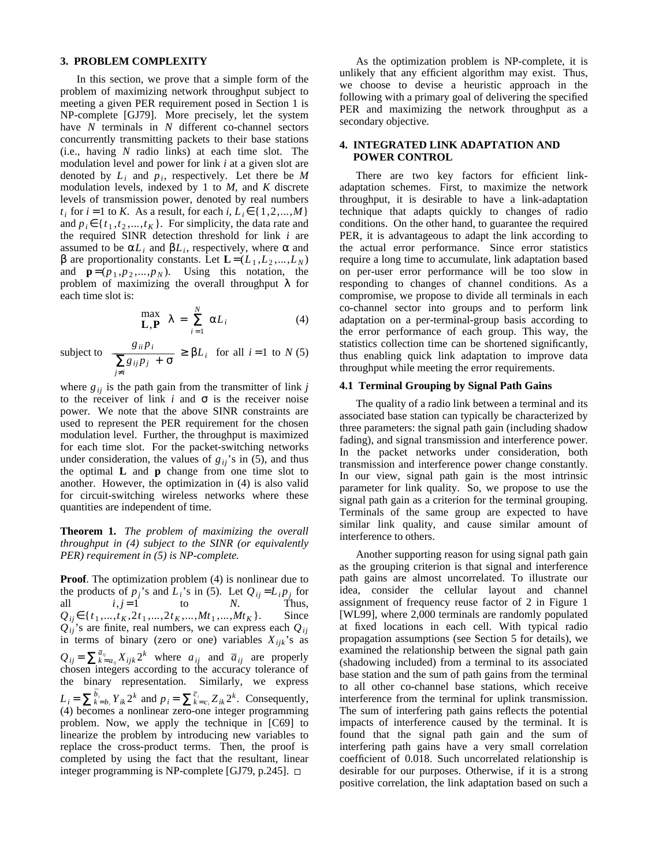#### **3. PROBLEM COMPLEXITY**

In this section, we prove that a simple form of the problem of maximizing network throughput subject to meeting a given PER requirement posed in Section 1 is NP-complete [GJ79]. More precisely, let the system have *N* terminals in *N* different co-channel sectors concurrently transmitting packets to their base stations (i.e., having *N* radio links) at each time slot. The modulation level and power for link *i* at a given slot are denoted by  $L_i$  and  $p_i$ , respectively. Let there be  $M$ modulation levels, indexed by 1 to *M*, and *K* discrete levels of transmission power, denoted by real numbers *t*<sub>*i*</sub> for *i* = 1 to *K*. As a result, for each *i*,  $L_i \in \{1, 2, ..., M\}$ and  $p_i \in \{t_1, t_2, ..., t_K\}$ . For simplicity, the data rate and the required SINR detection threshold for link *i* are assumed to be  $\alpha L_i$  and  $\beta L_i$ , respectively, where  $\alpha$  and β are proportionality constants. Let  $\mathbf{L} = (L_1, L_2, ..., L_N)$ and  $\mathbf{p} = (p_1, p_2, \dots, p_N)$ . Using this notation, the problem of maximizing the overall throughput  $\lambda$  for each time slot is:

$$
\max_{\mathbf{L}, \mathbf{P}} \lambda = \sum_{i=1}^{N} \alpha L_i
$$
 (4)

subject to  $\sum_{j \neq i}$  *g*<sub>*ij*</sub> *p*<sub>*j*</sub> + σ  $\frac{g_{ii}p_i}{\sum_{i=1}^n g_{ii}p_i} \geq \beta L_i$  for all  $i = 1$  to *N* (5)

where  $g_{ii}$  is the path gain from the transmitter of link *j* to the receiver of link  $i$  and  $\sigma$  is the receiver noise power. We note that the above SINR constraints are used to represent the PER requirement for the chosen modulation level. Further, the throughput is maximized for each time slot. For the packet-switching networks under consideration, the values of  $g_{ij}$ 's in (5), and thus the optimal **L** and **p** change from one time slot to another. However, the optimization in (4) is also valid for circuit-switching wireless networks where these quantities are independent of time.

**Theorem 1.** *The problem of maximizing the overall throughput in (4) subject to the SINR (or equivalently PER) requirement in (5) is NP-complete.*

**Proof.** The optimization problem (4) is nonlinear due to the products of  $p_j$ 's and  $L_i$ 's in (5). Let  $Q_{ij} = L_i p_j$  for all  $i, j = 1$  to *N*. Thus,  $Q_{ij} \in \{t_1, \ldots, t_K, 2t_1, \ldots, 2t_K, \ldots, Mt_1, \ldots, Mt_K\}.$  Since  $Q_{ij}$ 's are finite, real numbers, we can express each  $Q_{ij}$ in terms of binary (zero or one) variables  $X_{ijk}$ 's as  $Q_{ij} = \sum_{k=a_{ij}}^{\overline{a}_{ij}} X_{ijk} 2^k$  where  $a_{ij}$  and  $\overline{a}_{ij}$  are properly chosen integers according to the accuracy tolerance of the binary representation. Similarly, we express \_  $L_i = \sum_{k=b_i} \overline{b_i} Y_{ik} 2^k$  and  $p_i = \sum_{k=c_i} \overline{c_i} Z_{ik} 2^k$ . Consequently, (4) becomes a nonlinear zero-one integer programming problem. Now, we apply the technique in [C69] to linearize the problem by introducing new variables to replace the cross-product terms. Then, the proof is completed by using the fact that the resultant, linear integer programming is NP-complete [GJ79, p.245].  $\Box$ 

As the optimization problem is NP-complete, it is unlikely that any efficient algorithm may exist. Thus, we choose to devise a heuristic approach in the following with a primary goal of delivering the specified PER and maximizing the network throughput as a secondary objective.

#### **4. INTEGRATED LINK ADAPTATION AND POWER CONTROL**

There are two key factors for efficient linkadaptation schemes. First, to maximize the network throughput, it is desirable to have a link-adaptation technique that adapts quickly to changes of radio conditions. On the other hand, to guarantee the required PER, it is advantageous to adapt the link according to the actual error performance. Since error statistics require a long time to accumulate, link adaptation based on per-user error performance will be too slow in responding to changes of channel conditions. As a compromise, we propose to divide all terminals in each co-channel sector into groups and to perform link adaptation on a per-terminal-group basis according to the error performance of each group. This way, the statistics collection time can be shortened significantly, thus enabling quick link adaptation to improve data throughput while meeting the error requirements.

#### **4.1 Terminal Grouping by Signal Path Gains**

The quality of a radio link between a terminal and its associated base station can typically be characterized by three parameters: the signal path gain (including shadow fading), and signal transmission and interference power. In the packet networks under consideration, both transmission and interference power change constantly. In our view, signal path gain is the most intrinsic parameter for link quality. So, we propose to use the signal path gain as a criterion for the terminal grouping. Terminals of the same group are expected to have similar link quality, and cause similar amount of interference to others.

Another supporting reason for using signal path gain as the grouping criterion is that signal and interference path gains are almost uncorrelated. To illustrate our idea, consider the cellular layout and channel assignment of frequency reuse factor of 2 in Figure 1 [WL99], where 2,000 terminals are randomly populated at fixed locations in each cell. With typical radio propagation assumptions (see Section 5 for details), we examined the relationship between the signal path gain (shadowing included) from a terminal to its associated base station and the sum of path gains from the terminal to all other co-channel base stations, which receive interference from the terminal for uplink transmission. The sum of interfering path gains reflects the potential impacts of interference caused by the terminal. It is found that the signal path gain and the sum of interfering path gains have a very small correlation coefficient of 0.018. Such uncorrelated relationship is desirable for our purposes. Otherwise, if it is a strong positive correlation, the link adaptation based on such a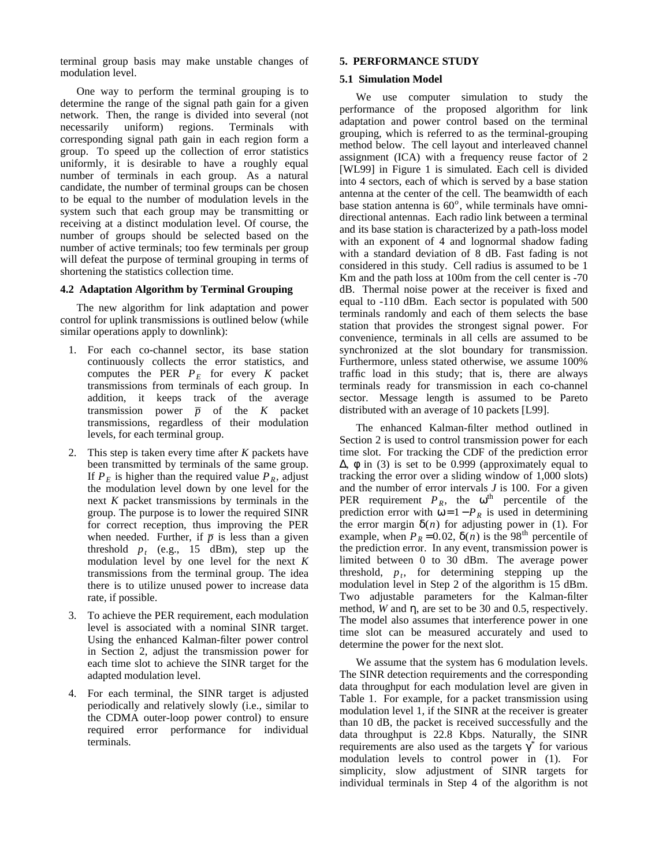terminal group basis may make unstable changes of modulation level.

One way to perform the terminal grouping is to determine the range of the signal path gain for a given network. Then, the range is divided into several (not necessarily uniform) regions. Terminals with corresponding signal path gain in each region form a group. To speed up the collection of error statistics uniformly, it is desirable to have a roughly equal number of terminals in each group. As a natural candidate, the number of terminal groups can be chosen to be equal to the number of modulation levels in the system such that each group may be transmitting or receiving at a distinct modulation level. Of course, the number of groups should be selected based on the number of active terminals; too few terminals per group will defeat the purpose of terminal grouping in terms of shortening the statistics collection time.

#### **4.2 Adaptation Algorithm by Terminal Grouping**

The new algorithm for link adaptation and power control for uplink transmissions is outlined below (while similar operations apply to downlink):

- 1. For each co-channel sector, its base station continuously collects the error statistics, and computes the PER  $P<sub>E</sub>$  for every *K* packet transmissions from terminals of each group. In addition, it keeps track of the average \_ transmission power  $\bar{p}$  of the *K* packet transmissions, regardless of their modulation levels, for each terminal group.
- 2. This step is taken every time after *K* packets have been transmitted by terminals of the same group. If  $P<sub>E</sub>$  is higher than the required value  $P<sub>R</sub>$ , adjust the modulation level down by one level for the next *K* packet transmissions by terminals in the group. The purpose is to lower the required SINR for correct reception, thus improving the PER when needed. Further, if  $\bar{p}$  is less than a given threshold  $p_t$  (e.g., 15 dBm), step up the modulation level by one level for the next *K* transmissions from the terminal group. The idea there is to utilize unused power to increase data rate, if possible.
- 3. To achieve the PER requirement, each modulation level is associated with a nominal SINR target. Using the enhanced Kalman-filter power control in Section 2, adjust the transmission power for each time slot to achieve the SINR target for the adapted modulation level.
- 4. For each terminal, the SINR target is adjusted periodically and relatively slowly (i.e., similar to the CDMA outer-loop power control) to ensure required error performance for individual terminals.

#### **5. PERFORMANCE STUDY**

#### **5.1 Simulation Model**

We use computer simulation to study the performance of the proposed algorithm for link adaptation and power control based on the terminal grouping, which is referred to as the terminal-grouping method below. The cell layout and interleaved channel assignment (ICA) with a frequency reuse factor of 2 [WL99] in Figure 1 is simulated. Each cell is divided into 4 sectors, each of which is served by a base station antenna at the center of the cell. The beamwidth of each base station antenna is 60<sup>o</sup>, while terminals have omnidirectional antennas. Each radio link between a terminal and its base station is characterized by a path-loss model with an exponent of 4 and lognormal shadow fading with a standard deviation of 8 dB. Fast fading is not considered in this study. Cell radius is assumed to be 1 Km and the path loss at 100m from the cell center is -70 dB. Thermal noise power at the receiver is fixed and equal to -110 dBm. Each sector is populated with 500 terminals randomly and each of them selects the base station that provides the strongest signal power. For convenience, terminals in all cells are assumed to be synchronized at the slot boundary for transmission. Furthermore, unless stated otherwise, we assume 100% traffic load in this study; that is, there are always terminals ready for transmission in each co-channel sector. Message length is assumed to be Pareto distributed with an average of 10 packets [L99].

The enhanced Kalman-filter method outlined in Section 2 is used to control transmission power for each time slot. For tracking the CDF of the prediction error  $Δ$ ,  $φ$  in (3) is set to be 0.999 (approximately equal to tracking the error over a sliding window of 1,000 slots) and the number of error intervals *J* is 100. For a given PER requirement  $P_R$ , the  $\omega^{\text{th}}$  percentile of the prediction error with  $\omega = 1 - P_R$  is used in determining the error margin  $\delta(n)$  for adjusting power in (1). For example, when  $P_R = 0.02$ ,  $\delta(n)$  is the 98<sup>th</sup> percentile of the prediction error. In any event, transmission power is limited between 0 to 30 dBm. The average power threshold,  $p_t$ , for determining stepping up the modulation level in Step 2 of the algorithm is 15 dBm. Two adjustable parameters for the Kalman-filter method, *W* and η, are set to be 30 and 0.5, respectively. The model also assumes that interference power in one time slot can be measured accurately and used to determine the power for the next slot.

We assume that the system has 6 modulation levels. The SINR detection requirements and the corresponding data throughput for each modulation level are given in Table 1. For example, for a packet transmission using modulation level 1, if the SINR at the receiver is greater than 10 dB, the packet is received successfully and the data throughput is 22.8 Kbps. Naturally, the SINR requirements are also used as the targets  $\gamma^*$  for various modulation levels to control power in (1). For simplicity, slow adjustment of SINR targets for individual terminals in Step 4 of the algorithm is not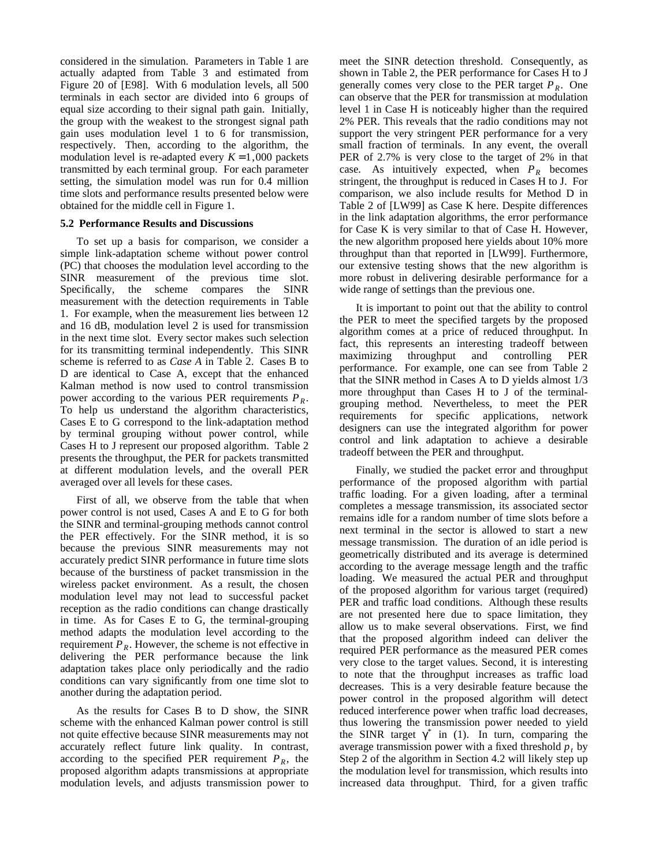considered in the simulation. Parameters in Table 1 are actually adapted from Table 3 and estimated from Figure 20 of [E98]. With 6 modulation levels, all 500 terminals in each sector are divided into 6 groups of equal size according to their signal path gain. Initially, the group with the weakest to the strongest signal path gain uses modulation level 1 to 6 for transmission, respectively. Then, according to the algorithm, the modulation level is re-adapted every  $K = 1,000$  packets transmitted by each terminal group. For each parameter setting, the simulation model was run for 0.4 million time slots and performance results presented below were obtained for the middle cell in Figure 1.

#### **5.2 Performance Results and Discussions**

To set up a basis for comparison, we consider a simple link-adaptation scheme without power control (PC) that chooses the modulation level according to the SINR measurement of the previous time slot. Specifically, the scheme compares the SINR measurement with the detection requirements in Table 1. For example, when the measurement lies between 12 and 16 dB, modulation level 2 is used for transmission in the next time slot. Every sector makes such selection for its transmitting terminal independently. This SINR scheme is referred to as *Case A* in Table 2. Cases B to D are identical to Case A, except that the enhanced Kalman method is now used to control transmission power according to the various PER requirements  $P_R$ . To help us understand the algorithm characteristics, Cases E to G correspond to the link-adaptation method by terminal grouping without power control, while Cases H to J represent our proposed algorithm. Table 2 presents the throughput, the PER for packets transmitted at different modulation levels, and the overall PER averaged over all levels for these cases.

First of all, we observe from the table that when power control is not used, Cases A and E to G for both the SINR and terminal-grouping methods cannot control the PER effectively. For the SINR method, it is so because the previous SINR measurements may not accurately predict SINR performance in future time slots because of the burstiness of packet transmission in the wireless packet environment. As a result, the chosen modulation level may not lead to successful packet reception as the radio conditions can change drastically in time. As for Cases E to G, the terminal-grouping method adapts the modulation level according to the requirement  $P_R$ . However, the scheme is not effective in delivering the PER performance because the link adaptation takes place only periodically and the radio conditions can vary significantly from one time slot to another during the adaptation period.

As the results for Cases B to D show, the SINR scheme with the enhanced Kalman power control is still not quite effective because SINR measurements may not accurately reflect future link quality. In contrast, according to the specified PER requirement  $P_R$ , the proposed algorithm adapts transmissions at appropriate modulation levels, and adjusts transmission power to meet the SINR detection threshold. Consequently, as shown in Table 2, the PER performance for Cases H to J generally comes very close to the PER target  $P_R$ . One can observe that the PER for transmission at modulation level 1 in Case H is noticeably higher than the required 2% PER. This reveals that the radio conditions may not support the very stringent PER performance for a very small fraction of terminals. In any event, the overall PER of 2.7% is very close to the target of 2% in that case. As intuitively expected, when  $P_R$  becomes stringent, the throughput is reduced in Cases H to J. For comparison, we also include results for Method D in Table 2 of [LW99] as Case K here. Despite differences in the link adaptation algorithms, the error performance for Case K is very similar to that of Case H. However, the new algorithm proposed here yields about 10% more throughput than that reported in [LW99]. Furthermore, our extensive testing shows that the new algorithm is more robust in delivering desirable performance for a wide range of settings than the previous one.

It is important to point out that the ability to control the PER to meet the specified targets by the proposed algorithm comes at a price of reduced throughput. In fact, this represents an interesting tradeoff between maximizing throughput and controlling PER performance. For example, one can see from Table 2 that the SINR method in Cases A to D yields almost 1/3 more throughput than Cases H to J of the terminalgrouping method. Nevertheless, to meet the PER requirements for specific applications, network designers can use the integrated algorithm for power control and link adaptation to achieve a desirable tradeoff between the PER and throughput.

Finally, we studied the packet error and throughput performance of the proposed algorithm with partial traffic loading. For a given loading, after a terminal completes a message transmission, its associated sector remains idle for a random number of time slots before a next terminal in the sector is allowed to start a new message transmission. The duration of an idle period is geometrically distributed and its average is determined according to the average message length and the traffic loading. We measured the actual PER and throughput of the proposed algorithm for various target (required) PER and traffic load conditions. Although these results are not presented here due to space limitation, they allow us to make several observations. First, we find that the proposed algorithm indeed can deliver the required PER performance as the measured PER comes very close to the target values. Second, it is interesting to note that the throughput increases as traffic load decreases. This is a very desirable feature because the power control in the proposed algorithm will detect reduced interference power when traffic load decreases, thus lowering the transmission power needed to yield the SINR target  $\gamma^*$  in (1). In turn, comparing the average transmission power with a fixed threshold *p<sup>t</sup>* by Step 2 of the algorithm in Section 4.2 will likely step up the modulation level for transmission, which results into increased data throughput. Third, for a given traffic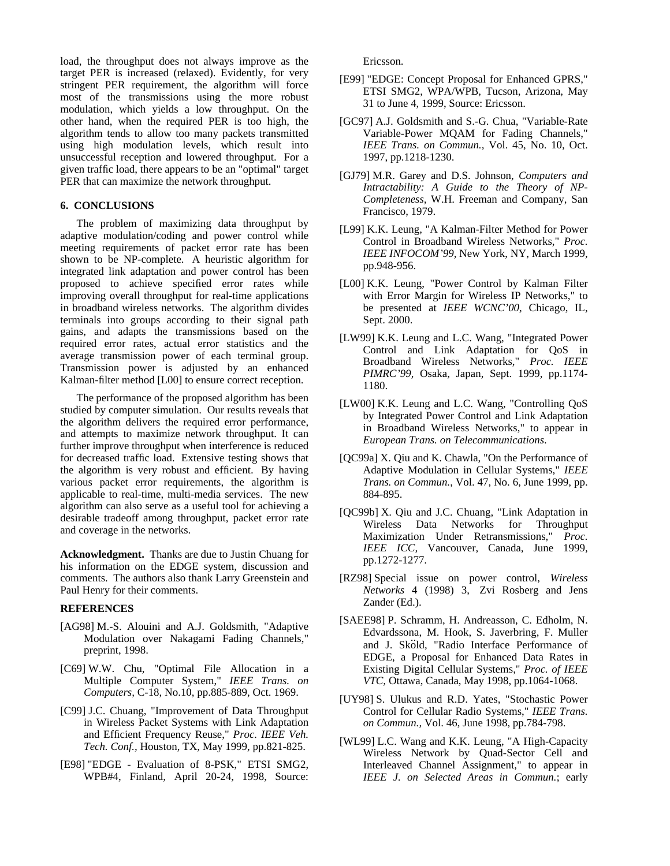load, the throughput does not always improve as the target PER is increased (relaxed). Evidently, for very stringent PER requirement, the algorithm will force most of the transmissions using the more robust modulation, which yields a low throughput. On the other hand, when the required PER is too high, the algorithm tends to allow too many packets transmitted using high modulation levels, which result into unsuccessful reception and lowered throughput. For a given traffic load, there appears to be an "optimal" target PER that can maximize the network throughput.

## **6. CONCLUSIONS**

The problem of maximizing data throughput by adaptive modulation/coding and power control while meeting requirements of packet error rate has been shown to be NP-complete. A heuristic algorithm for integrated link adaptation and power control has been proposed to achieve specified error rates while improving overall throughput for real-time applications in broadband wireless networks. The algorithm divides terminals into groups according to their signal path gains, and adapts the transmissions based on the required error rates, actual error statistics and the average transmission power of each terminal group. Transmission power is adjusted by an enhanced Kalman-filter method [L00] to ensure correct reception.

The performance of the proposed algorithm has been studied by computer simulation. Our results reveals that the algorithm delivers the required error performance, and attempts to maximize network throughput. It can further improve throughput when interference is reduced for decreased traffic load. Extensive testing shows that the algorithm is very robust and efficient. By having various packet error requirements, the algorithm is applicable to real-time, multi-media services. The new algorithm can also serve as a useful tool for achieving a desirable tradeoff among throughput, packet error rate and coverage in the networks.

**Acknowledgment.** Thanks are due to Justin Chuang for his information on the EDGE system, discussion and comments. The authors also thank Larry Greenstein and Paul Henry for their comments.

#### **REFERENCES**

- [AG98] M.-S. Alouini and A.J. Goldsmith, "Adaptive Modulation over Nakagami Fading Channels," preprint, 1998.
- [C69] W.W. Chu, "Optimal File Allocation in a Multiple Computer System," *IEEE Trans. on Computers,* C-18, No.10, pp.885-889, Oct. 1969.
- [C99] J.C. Chuang, "Improvement of Data Throughput in Wireless Packet Systems with Link Adaptation and Efficient Frequency Reuse," *Proc. IEEE Veh. Tech. Conf.,* Houston, TX, May 1999, pp.821-825.
- [E98] "EDGE Evaluation of 8-PSK," ETSI SMG2, WPB#4, Finland, April 20-24, 1998, Source:

Ericsson.

- [E99] "EDGE: Concept Proposal for Enhanced GPRS," ETSI SMG2, WPA/WPB, Tucson, Arizona, May 31 to June 4, 1999, Source: Ericsson.
- [GC97] A.J. Goldsmith and S.-G. Chua, "Variable-Rate Variable-Power MQAM for Fading Channels," *IEEE Trans. on Commun.,* Vol. 45, No. 10, Oct. 1997, pp.1218-1230.
- [GJ79] M.R. Garey and D.S. Johnson, *Computers and Intractability: A Guide to the Theory of NP-Completeness,* W.H. Freeman and Company, San Francisco, 1979.
- [L99] K.K. Leung, "A Kalman-Filter Method for Power Control in Broadband Wireless Networks," *Proc. IEEE INFOCOM'99,* New York, NY, March 1999, pp.948-956.
- [L00] K.K. Leung, "Power Control by Kalman Filter with Error Margin for Wireless IP Networks," to be presented at *IEEE WCNC'00,* Chicago, IL, Sept. 2000.
- [LW99] K.K. Leung and L.C. Wang, "Integrated Power Control and Link Adaptation for QoS in Broadband Wireless Networks," *Proc. IEEE PIMRC'99,* Osaka, Japan, Sept. 1999, pp.1174- 1180.
- [LW00] K.K. Leung and L.C. Wang, "Controlling QoS by Integrated Power Control and Link Adaptation in Broadband Wireless Networks," to appear in *European Trans. on Telecommunications*.
- [QC99a] X. Qiu and K. Chawla, "On the Performance of Adaptive Modulation in Cellular Systems," *IEEE Trans. on Commun.*, Vol. 47, No. 6, June 1999, pp. 884-895.
- [QC99b] X. Qiu and J.C. Chuang, "Link Adaptation in Wireless Data Networks for Throughput Maximization Under Retransmissions," *Proc. IEEE ICC,* Vancouver, Canada, June 1999, pp.1272-1277.
- [RZ98] Special issue on power control, *Wireless Networks* 4 (1998) 3, Zvi Rosberg and Jens Zander (Ed.).
- [SAEE98] P. Schramm, H. Andreasson, C. Edholm, N. Edvardssona, M. Hook, S. Javerbring, F. Muller and J. Sköld, "Radio Interface Performance of EDGE, a Proposal for Enhanced Data Rates in Existing Digital Cellular Systems," *Proc. of IEEE VTC,* Ottawa, Canada, May 1998, pp.1064-1068.
- [UY98] S. Ulukus and R.D. Yates, "Stochastic Power Control for Cellular Radio Systems," *IEEE Trans. on Commun.,* Vol. 46, June 1998, pp.784-798.
- [WL99] L.C. Wang and K.K. Leung, "A High-Capacity Wireless Network by Quad-Sector Cell and Interleaved Channel Assignment," to appear in *IEEE J. on Selected Areas in Commun.*; early